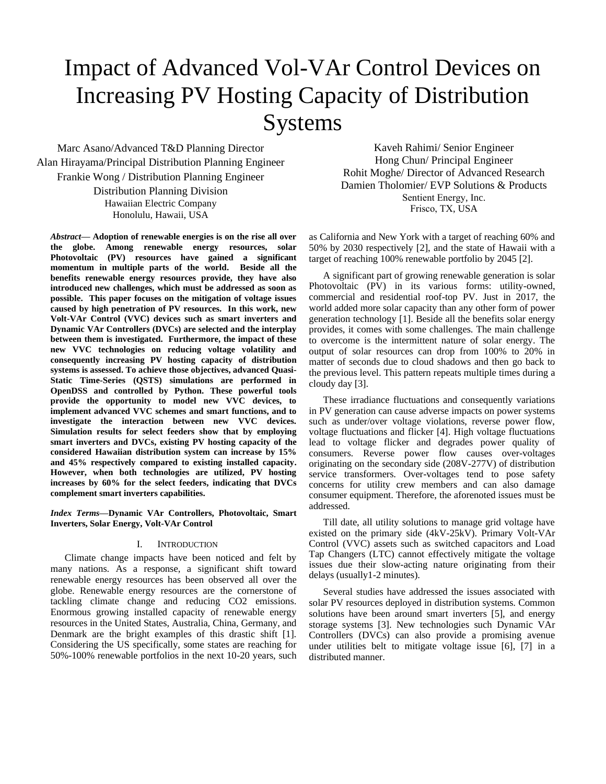# Impact of Advanced Vol-VAr Control Devices on Increasing PV Hosting Capacity of Distribution Systems

Marc Asano/Advanced T&D Planning Director Alan Hirayama/Principal Distribution Planning Engineer Frankie Wong / Distribution Planning Engineer Distribution Planning Division Hawaiian Electric Company Honolulu, Hawaii, USA

*Abstract***— Adoption of renewable energies is on the rise all over the globe. Among renewable energy resources, solar Photovoltaic (PV) resources have gained a significant momentum in multiple parts of the world. Beside all the benefits renewable energy resources provide, they have also introduced new challenges, which must be addressed as soon as possible. This paper focuses on the mitigation of voltage issues caused by high penetration of PV resources. In this work, new Volt-VAr Control (VVC) devices such as smart inverters and Dynamic VAr Controllers (DVCs) are selected and the interplay between them is investigated. Furthermore, the impact of these new VVC technologies on reducing voltage volatility and consequently increasing PV hosting capacity of distribution systems is assessed. To achieve those objectives, advanced Quasi-Static Time-Series (QSTS) simulations are performed in OpenDSS and controlled by Python. These powerful tools provide the opportunity to model new VVC devices, to implement advanced VVC schemes and smart functions, and to investigate the interaction between new VVC devices. Simulation results for select feeders show that by employing smart inverters and DVCs, existing PV hosting capacity of the considered Hawaiian distribution system can increase by 15% and 45% respectively compared to existing installed capacity. However, when both technologies are utilized, PV hosting increases by 60% for the select feeders, indicating that DVCs complement smart inverters capabilities.**

*Index Terms***—Dynamic VAr Controllers, Photovoltaic, Smart Inverters, Solar Energy, Volt-VAr Control**

## I. INTRODUCTION

Climate change impacts have been noticed and felt by many nations. As a response, a significant shift toward renewable energy resources has been observed all over the globe. Renewable energy resources are the cornerstone of tackling climate change and reducing CO2 emissions. Enormous growing installed capacity of renewable energy resources in the United States, Australia, China, Germany, and Denmark are the bright examples of this drastic shift [1]. Considering the US specifically, some states are reaching for 50%-100% renewable portfolios in the next 10-20 years, such

Kaveh Rahimi/ Senior Engineer Hong Chun/ Principal Engineer Rohit Moghe/ Director of Advanced Research Damien Tholomier/ EVP Solutions & Products Sentient Energy, Inc. Frisco, TX, USA

as California and New York with a target of reaching 60% and 50% by 2030 respectively [2], and the state of Hawaii with a target of reaching 100% renewable portfolio by 2045 [2].

A significant part of growing renewable generation is solar Photovoltaic (PV) in its various forms: utility-owned, commercial and residential roof-top PV. Just in 2017, the world added more solar capacity than any other form of power generation technology [1]. Beside all the benefits solar energy provides, it comes with some challenges. The main challenge to overcome is the intermittent nature of solar energy. The output of solar resources can drop from 100% to 20% in matter of seconds due to cloud shadows and then go back to the previous level. This pattern repeats multiple times during a cloudy day [3].

These irradiance fluctuations and consequently variations in PV generation can cause adverse impacts on power systems such as under/over voltage violations, reverse power flow, voltage fluctuations and flicker [4]. High voltage fluctuations lead to voltage flicker and degrades power quality of consumers. Reverse power flow causes over-voltages originating on the secondary side (208V-277V) of distribution service transformers. Over-voltages tend to pose safety concerns for utility crew members and can also damage consumer equipment. Therefore, the aforenoted issues must be addressed.

Till date, all utility solutions to manage grid voltage have existed on the primary side (4kV-25kV). Primary Volt-VAr Control (VVC) assets such as switched capacitors and Load Tap Changers (LTC) cannot effectively mitigate the voltage issues due their slow-acting nature originating from their delays (usually1-2 minutes).

Several studies have addressed the issues associated with solar PV resources deployed in distribution systems. Common solutions have been around smart inverters [5], and energy storage systems [3]. New technologies such Dynamic VAr Controllers (DVCs) can also provide a promising avenue under utilities belt to mitigate voltage issue [6], [7] in a distributed manner.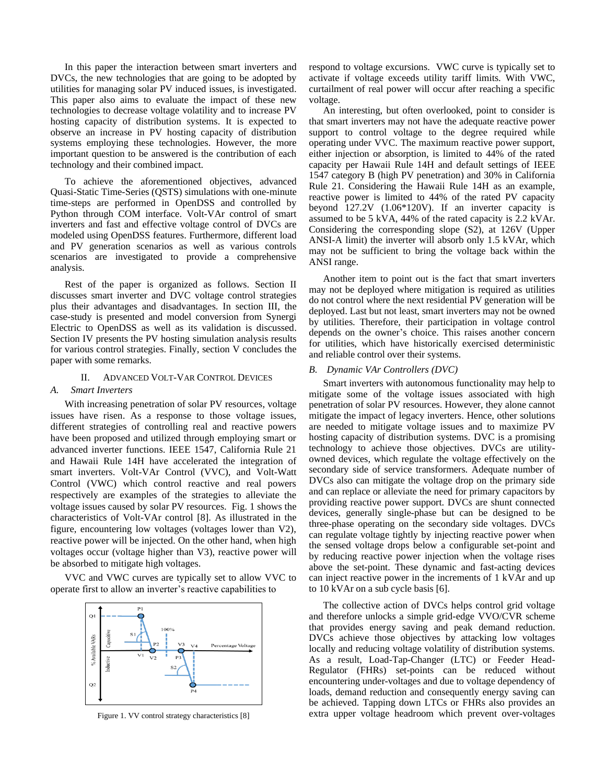In this paper the interaction between smart inverters and DVCs, the new technologies that are going to be adopted by utilities for managing solar PV induced issues, is investigated. This paper also aims to evaluate the impact of these new technologies to decrease voltage volatility and to increase PV hosting capacity of distribution systems. It is expected to observe an increase in PV hosting capacity of distribution systems employing these technologies. However, the more important question to be answered is the contribution of each technology and their combined impact.

To achieve the aforementioned objectives, advanced Quasi-Static Time-Series (QSTS) simulations with one-minute time-steps are performed in OpenDSS and controlled by Python through COM interface. Volt-VAr control of smart inverters and fast and effective voltage control of DVCs are modeled using OpenDSS features. Furthermore, different load and PV generation scenarios as well as various controls scenarios are investigated to provide a comprehensive analysis.

Rest of the paper is organized as follows. Section II discusses smart inverter and DVC voltage control strategies plus their advantages and disadvantages. In section III, the case-study is presented and model conversion from Synergi Electric to OpenDSS as well as its validation is discussed. Section IV presents the PV hosting simulation analysis results for various control strategies. Finally, section V concludes the paper with some remarks.

## II. ADVANCED VOLT-VAR CONTROL DEVICES

# *A. Smart Inverters*

With increasing penetration of solar PV resources, voltage issues have risen. As a response to those voltage issues, different strategies of controlling real and reactive powers have been proposed and utilized through employing smart or advanced inverter functions. IEEE 1547, California Rule 21 and Hawaii Rule 14H have accelerated the integration of smart inverters. Volt-VAr Control (VVC), and Volt-Watt Control (VWC) which control reactive and real powers respectively are examples of the strategies to alleviate the voltage issues caused by solar PV resources. Fig. 1 shows the characteristics of Volt-VAr control [8]. As illustrated in the figure, encountering low voltages (voltages lower than V2), reactive power will be injected. On the other hand, when high voltages occur (voltage higher than V3), reactive power will be absorbed to mitigate high voltages.

VVC and VWC curves are typically set to allow VVC to operate first to allow an inverter's reactive capabilities to



Figure 1. VV control strategy characteristics [8]

respond to voltage excursions. VWC curve is typically set to activate if voltage exceeds utility tariff limits. With VWC, curtailment of real power will occur after reaching a specific voltage.

An interesting, but often overlooked, point to consider is that smart inverters may not have the adequate reactive power support to control voltage to the degree required while operating under VVC. The maximum reactive power support, either injection or absorption, is limited to 44% of the rated capacity per Hawaii Rule 14H and default settings of IEEE 1547 category B (high PV penetration) and 30% in California Rule 21. Considering the Hawaii Rule 14H as an example, reactive power is limited to 44% of the rated PV capacity beyond 127.2V (1.06\*120V). If an inverter capacity is assumed to be 5 kVA, 44% of the rated capacity is 2.2 kVAr. Considering the corresponding slope (S2), at 126V (Upper ANSI-A limit) the inverter will absorb only 1.5 kVAr, which may not be sufficient to bring the voltage back within the ANSI range.

Another item to point out is the fact that smart inverters may not be deployed where mitigation is required as utilities do not control where the next residential PV generation will be deployed. Last but not least, smart inverters may not be owned by utilities. Therefore, their participation in voltage control depends on the owner's choice. This raises another concern for utilities, which have historically exercised deterministic and reliable control over their systems.

## *B. Dynamic VAr Controllers (DVC)*

Smart inverters with autonomous functionality may help to mitigate some of the voltage issues associated with high penetration of solar PV resources. However, they alone cannot mitigate the impact of legacy inverters. Hence, other solutions are needed to mitigate voltage issues and to maximize PV hosting capacity of distribution systems. DVC is a promising technology to achieve those objectives. DVCs are utilityowned devices, which regulate the voltage effectively on the secondary side of service transformers. Adequate number of DVCs also can mitigate the voltage drop on the primary side and can replace or alleviate the need for primary capacitors by providing reactive power support. DVCs are shunt connected devices, generally single-phase but can be designed to be three-phase operating on the secondary side voltages. DVCs can regulate voltage tightly by injecting reactive power when the sensed voltage drops below a configurable set-point and by reducing reactive power injection when the voltage rises above the set-point. These dynamic and fast-acting devices can inject reactive power in the increments of 1 kVAr and up to 10 kVAr on a sub cycle basis [6].

The collective action of DVCs helps control grid voltage and therefore unlocks a simple grid-edge VVO/CVR scheme that provides energy saving and peak demand reduction. DVCs achieve those objectives by attacking low voltages locally and reducing voltage volatility of distribution systems. As a result, Load-Tap-Changer (LTC) or Feeder Head-Regulator (FHRs) set-points can be reduced without encountering under-voltages and due to voltage dependency of loads, demand reduction and consequently energy saving can be achieved. Tapping down LTCs or FHRs also provides an extra upper voltage headroom which prevent over-voltages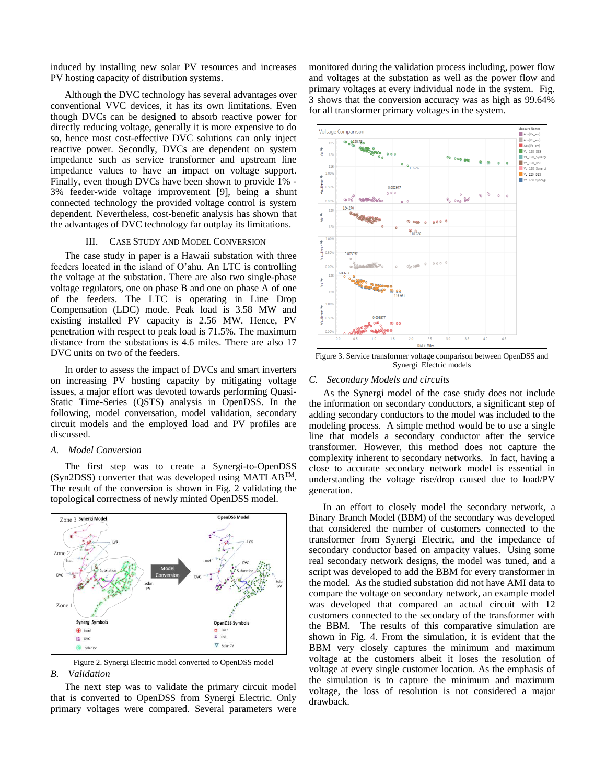induced by installing new solar PV resources and increases PV hosting capacity of distribution systems.

Although the DVC technology has several advantages over conventional VVC devices, it has its own limitations. Even though DVCs can be designed to absorb reactive power for directly reducing voltage, generally it is more expensive to do so, hence most cost-effective DVC solutions can only inject reactive power. Secondly, DVCs are dependent on system impedance such as service transformer and upstream line impedance values to have an impact on voltage support. Finally, even though DVCs have been shown to provide 1% - 3% feeder-wide voltage improvement [9], being a shunt connected technology the provided voltage control is system dependent. Nevertheless, cost-benefit analysis has shown that the advantages of DVC technology far outplay its limitations.

#### III. CASE STUDY AND MODEL CONVERSION

The case study in paper is a Hawaii substation with three feeders located in the island of O'ahu. An LTC is controlling the voltage at the substation. There are also two single-phase voltage regulators, one on phase B and one on phase A of one of the feeders. The LTC is operating in Line Drop Compensation (LDC) mode. Peak load is 3.58 MW and existing installed PV capacity is 2.56 MW. Hence, PV penetration with respect to peak load is 71.5%. The maximum distance from the substations is 4.6 miles. There are also 17 DVC units on two of the feeders.

In order to assess the impact of DVCs and smart inverters on increasing PV hosting capacity by mitigating voltage issues, a major effort was devoted towards performing Quasi-Static Time-Series (QSTS) analysis in OpenDSS. In the following, model conversation, model validation, secondary circuit models and the employed load and PV profiles are discussed.

# *A. Model Conversion*

The first step was to create a Synergi-to-OpenDSS (Syn2DSS) converter that was developed using MATLABTM. The result of the conversion is shown in Fig. 2 validating the topological correctness of newly minted OpenDSS model.



Figure 2. Synergi Electric model converted to OpenDSS model *B. Validation*

The next step was to validate the primary circuit model that is converted to OpenDSS from Synergi Electric. Only primary voltages were compared. Several parameters were monitored during the validation process including, power flow and voltages at the substation as well as the power flow and primary voltages at every individual node in the system. Fig. 3 shows that the conversion accuracy was as high as 99.64% for all transformer primary voltages in the system.



Figure 3. Service transformer voltage comparison between OpenDSS and Synergi Electric models

#### *C. Secondary Models and circuits*

As the Synergi model of the case study does not include the information on secondary conductors, a significant step of adding secondary conductors to the model was included to the modeling process. A simple method would be to use a single line that models a secondary conductor after the service transformer. However, this method does not capture the complexity inherent to secondary networks. In fact, having a close to accurate secondary network model is essential in understanding the voltage rise/drop caused due to load/PV generation.

In an effort to closely model the secondary network, a Binary Branch Model (BBM) of the secondary was developed that considered the number of customers connected to the transformer from Synergi Electric, and the impedance of secondary conductor based on ampacity values. Using some real secondary network designs, the model was tuned, and a script was developed to add the BBM for every transformer in the model. As the studied substation did not have AMI data to compare the voltage on secondary network, an example model was developed that compared an actual circuit with 12 customers connected to the secondary of the transformer with the BBM. The results of this comparative simulation are shown in Fig. 4. From the simulation, it is evident that the BBM very closely captures the minimum and maximum voltage at the customers albeit it loses the resolution of voltage at every single customer location. As the emphasis of the simulation is to capture the minimum and maximum voltage, the loss of resolution is not considered a major drawback.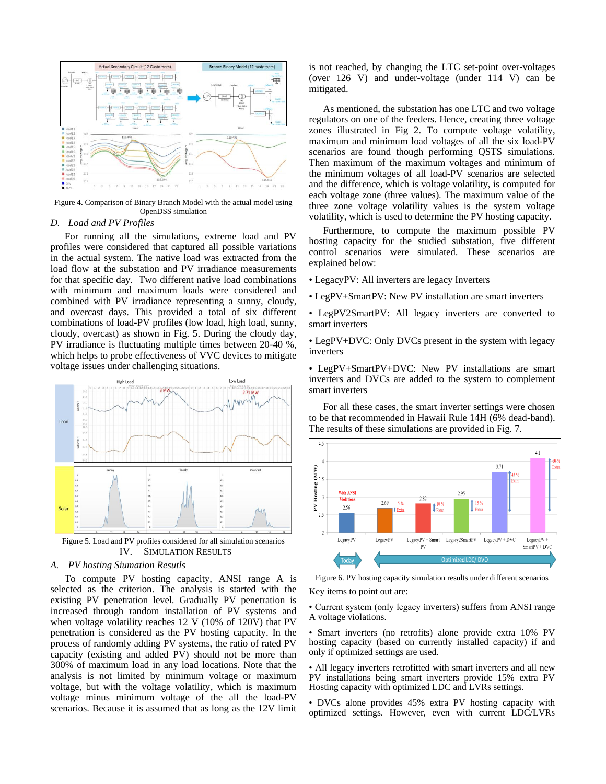

Figure 4. Comparison of Binary Branch Model with the actual model using OpenDSS simulation

# *D. Load and PV Profiles*

For running all the simulations, extreme load and PV profiles were considered that captured all possible variations in the actual system. The native load was extracted from the load flow at the substation and PV irradiance measurements for that specific day. Two different native load combinations with minimum and maximum loads were considered and combined with PV irradiance representing a sunny, cloudy, and overcast days. This provided a total of six different combinations of load-PV profiles (low load, high load, sunny, cloudy, overcast) as shown in Fig. 5. During the cloudy day, PV irradiance is fluctuating multiple times between 20-40 %, which helps to probe effectiveness of VVC devices to mitigate voltage issues under challenging situations.



IV. SIMULATION RESULTS

# *A. PV hosting Siumation Resutls*

To compute PV hosting capacity, ANSI range A is selected as the criterion. The analysis is started with the existing PV penetration level. Gradually PV penetration is increased through random installation of PV systems and when voltage volatility reaches 12 V (10% of 120V) that PV penetration is considered as the PV hosting capacity. In the process of randomly adding PV systems, the ratio of rated PV capacity (existing and added PV) should not be more than 300% of maximum load in any load locations. Note that the analysis is not limited by minimum voltage or maximum voltage, but with the voltage volatility, which is maximum voltage minus minimum voltage of the all the load-PV scenarios. Because it is assumed that as long as the 12V limit is not reached, by changing the LTC set-point over-voltages (over 126 V) and under-voltage (under 114 V) can be mitigated.

As mentioned, the substation has one LTC and two voltage regulators on one of the feeders. Hence, creating three voltage zones illustrated in Fig 2. To compute voltage volatility, maximum and minimum load voltages of all the six load-PV scenarios are found though performing QSTS simulations. Then maximum of the maximum voltages and minimum of the minimum voltages of all load-PV scenarios are selected and the difference, which is voltage volatility, is computed for each voltage zone (three values). The maximum value of the three zone voltage volatility values is the system voltage volatility, which is used to determine the PV hosting capacity.

Furthermore, to compute the maximum possible PV hosting capacity for the studied substation, five different control scenarios were simulated. These scenarios are explained below:

- LegacyPV: All inverters are legacy Inverters
- LegPV+SmartPV: New PV installation are smart inverters

• LegPV2SmartPV: All legacy inverters are converted to smart inverters

• LegPV+DVC: Only DVCs present in the system with legacy inverters

• LegPV+SmartPV+DVC: New PV installations are smart inverters and DVCs are added to the system to complement smart inverters

For all these cases, the smart inverter settings were chosen to be that recommended in Hawaii Rule 14H (6% dead-band). The results of these simulations are provided in Fig. 7.



Figure 6. PV hosting capacity simulation results under different scenarios

Key items to point out are:

• Current system (only legacy inverters) suffers from ANSI range A voltage violations.

• Smart inverters (no retrofits) alone provide extra 10% PV hosting capacity (based on currently installed capacity) if and only if optimized settings are used.

• All legacy inverters retrofitted with smart inverters and all new PV installations being smart inverters provide 15% extra PV Hosting capacity with optimized LDC and LVRs settings.

• DVCs alone provides 45% extra PV hosting capacity with optimized settings. However, even with current LDC/LVRs